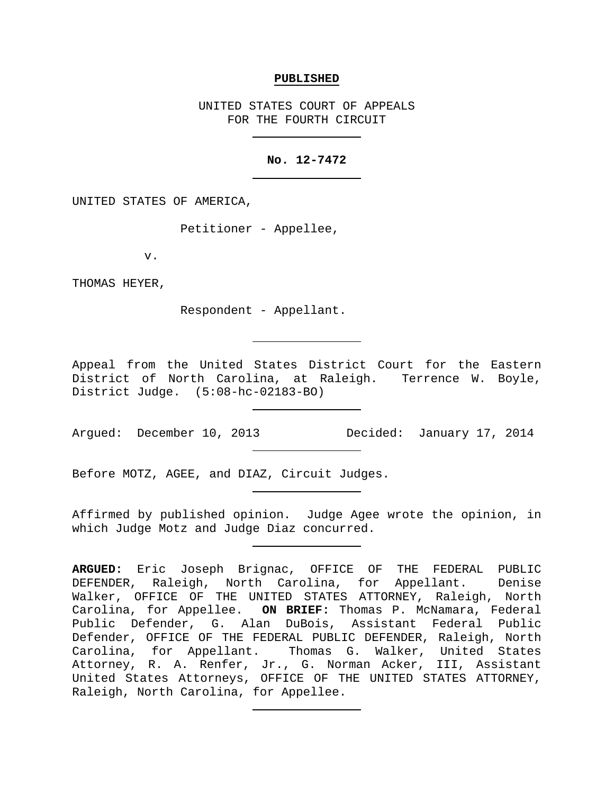### **PUBLISHED**

UNITED STATES COURT OF APPEALS FOR THE FOURTH CIRCUIT

# **No. 12-7472**

UNITED STATES OF AMERICA,

Petitioner - Appellee,

v.

THOMAS HEYER,

Respondent - Appellant.

Appeal from the United States District Court for the Eastern District of North Carolina, at Raleigh. Terrence W. Boyle, District Judge. (5:08-hc-02183-BO)

Argued: December 10, 2013 Decided: January 17, 2014

Before MOTZ, AGEE, and DIAZ, Circuit Judges.

Affirmed by published opinion. Judge Agee wrote the opinion, in which Judge Motz and Judge Diaz concurred.

**ARGUED:** Eric Joseph Brignac, OFFICE OF THE FEDERAL PUBLIC DEFENDER, Raleigh, North Carolina, for Appellant. Denise Walker, OFFICE OF THE UNITED STATES ATTORNEY, Raleigh, North Carolina, for Appellee. **ON BRIEF:** Thomas P. McNamara, Federal Public Defender, G. Alan DuBois, Assistant Federal Public Defender, OFFICE OF THE FEDERAL PUBLIC DEFENDER, Raleigh, North Carolina, for Appellant. Thomas G. Walker, United States Attorney, R. A. Renfer, Jr., G. Norman Acker, III, Assistant United States Attorneys, OFFICE OF THE UNITED STATES ATTORNEY, Raleigh, North Carolina, for Appellee.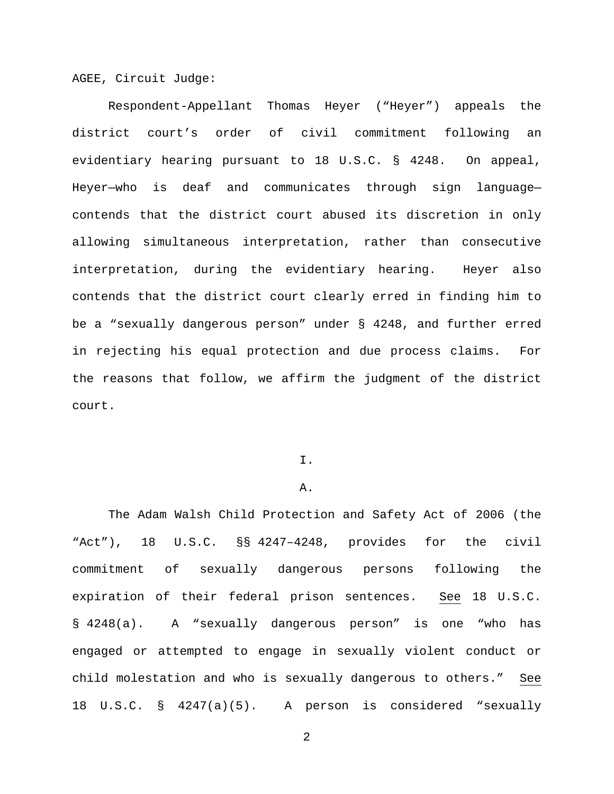AGEE, Circuit Judge:

Respondent-Appellant Thomas Heyer ("Heyer") appeals the district court's order of civil commitment following an evidentiary hearing pursuant to 18 U.S.C. § 4248. On appeal, Heyer—who is deaf and communicates through sign language contends that the district court abused its discretion in only allowing simultaneous interpretation, rather than consecutive interpretation, during the evidentiary hearing. Heyer also contends that the district court clearly erred in finding him to be a "sexually dangerous person" under § 4248, and further erred in rejecting his equal protection and due process claims. For the reasons that follow, we affirm the judgment of the district court.

#### I.

### A.

The Adam Walsh Child Protection and Safety Act of 2006 (the "Act"), 18 U.S.C. §§ 4247–4248, provides for the civil commitment of sexually dangerous persons following the expiration of their federal prison sentences. See 18 U.S.C. § 4248(a). A "sexually dangerous person" is one "who has engaged or attempted to engage in sexually violent conduct or child molestation and who is sexually dangerous to others." See 18 U.S.C. § 4247(a)(5). A person is considered "sexually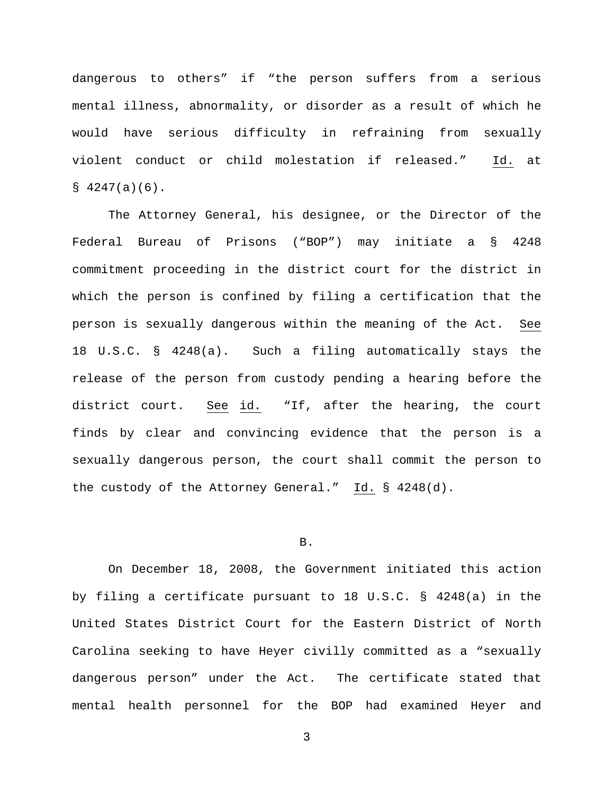dangerous to others" if "the person suffers from a serious mental illness, abnormality, or disorder as a result of which he would have serious difficulty in refraining from sexually violent conduct or child molestation if released." Id. at  $$4247(a)(6)$ .

The Attorney General, his designee, or the Director of the Federal Bureau of Prisons ("BOP") may initiate a § 4248 commitment proceeding in the district court for the district in which the person is confined by filing a certification that the person is sexually dangerous within the meaning of the Act. See 18 U.S.C. § 4248(a). Such a filing automatically stays the release of the person from custody pending a hearing before the district court. See id. "If, after the hearing, the court finds by clear and convincing evidence that the person is a sexually dangerous person, the court shall commit the person to the custody of the Attorney General." Id. § 4248(d).

#### B.

On December 18, 2008, the Government initiated this action by filing a certificate pursuant to 18 U.S.C. § 4248(a) in the United States District Court for the Eastern District of North Carolina seeking to have Heyer civilly committed as a "sexually dangerous person" under the Act. The certificate stated that mental health personnel for the BOP had examined Heyer and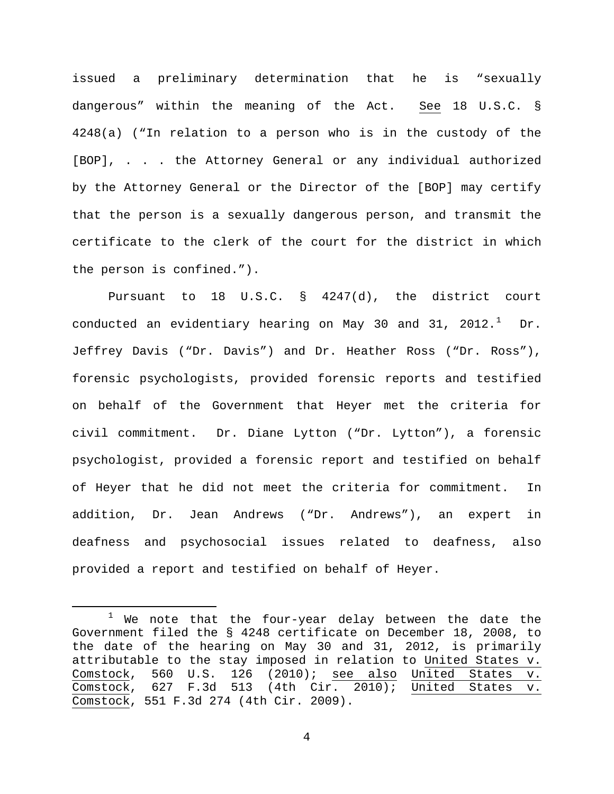issued a preliminary determination that he is "sexually dangerous" within the meaning of the Act. See 18 U.S.C. § 4248(a) ("In relation to a person who is in the custody of the [BOP], . . . the Attorney General or any individual authorized by the Attorney General or the Director of the [BOP] may certify that the person is a sexually dangerous person, and transmit the certificate to the clerk of the court for the district in which the person is confined.").

Pursuant to 18 U.S.C. § 4247(d), the district court conducted an evidentiary hearing on May 30 and 3[1](#page-3-0), 2012. $^1$  Dr. Jeffrey Davis ("Dr. Davis") and Dr. Heather Ross ("Dr. Ross"), forensic psychologists, provided forensic reports and testified on behalf of the Government that Heyer met the criteria for civil commitment. Dr. Diane Lytton ("Dr. Lytton"), a forensic psychologist, provided a forensic report and testified on behalf of Heyer that he did not meet the criteria for commitment. In addition, Dr. Jean Andrews ("Dr. Andrews"), an expert in deafness and psychosocial issues related to deafness, also provided a report and testified on behalf of Heyer.

<span id="page-3-0"></span> $1$  We note that the four-year delay between the date the Government filed the § 4248 certificate on December 18, 2008, to the date of the hearing on May 30 and 31, 2012, is primarily attributable to the stay imposed in relation to United States v. Comstock, 560 U.S. 126 (2010); see also United States v. Comstock, 627 F.3d 513 (4th Cir. 2010); United States v. Comstock, 551 F.3d 274 (4th Cir. 2009).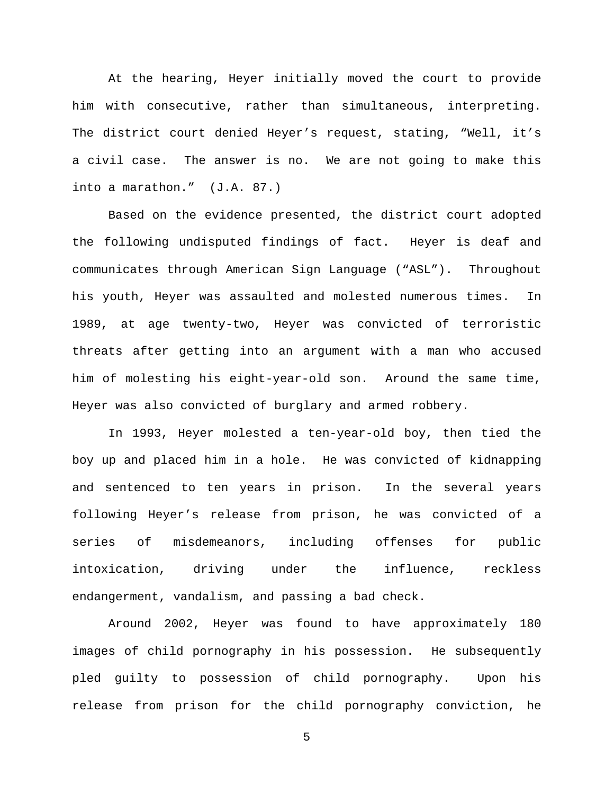At the hearing, Heyer initially moved the court to provide him with consecutive, rather than simultaneous, interpreting. The district court denied Heyer's request, stating, "Well, it's a civil case. The answer is no. We are not going to make this into a marathon." (J.A. 87.)

Based on the evidence presented, the district court adopted the following undisputed findings of fact. Heyer is deaf and communicates through American Sign Language ("ASL"). Throughout his youth, Heyer was assaulted and molested numerous times. In 1989, at age twenty-two, Heyer was convicted of terroristic threats after getting into an argument with a man who accused him of molesting his eight-year-old son. Around the same time, Heyer was also convicted of burglary and armed robbery.

In 1993, Heyer molested a ten-year-old boy, then tied the boy up and placed him in a hole. He was convicted of kidnapping and sentenced to ten years in prison. In the several years following Heyer's release from prison, he was convicted of a series of misdemeanors, including offenses for public intoxication, driving under the influence, reckless endangerment, vandalism, and passing a bad check.

Around 2002, Heyer was found to have approximately 180 images of child pornography in his possession. He subsequently pled guilty to possession of child pornography. Upon his release from prison for the child pornography conviction, he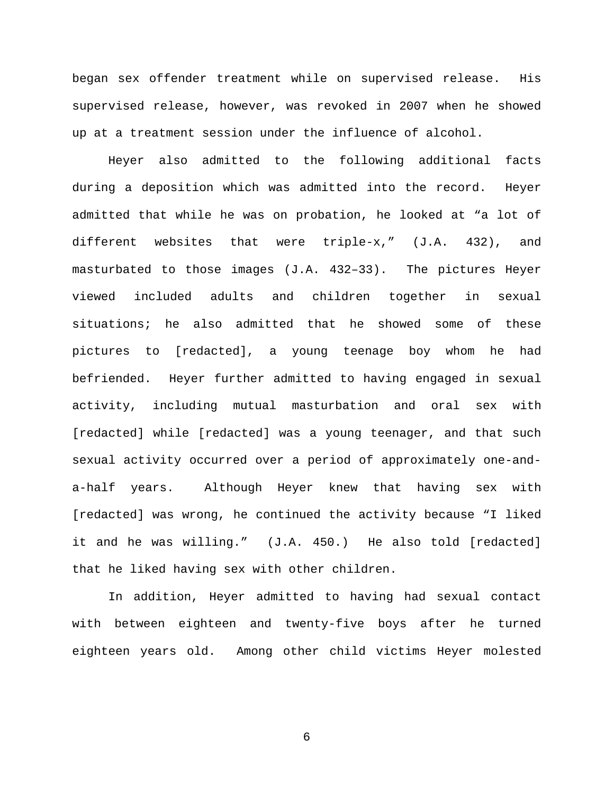began sex offender treatment while on supervised release. His supervised release, however, was revoked in 2007 when he showed up at a treatment session under the influence of alcohol.

Heyer also admitted to the following additional facts during a deposition which was admitted into the record. Heyer admitted that while he was on probation, he looked at "a lot of different websites that were triple-x," (J.A. 432), and masturbated to those images (J.A. 432–33). The pictures Heyer viewed included adults and children together in sexual situations; he also admitted that he showed some of these pictures to [redacted], a young teenage boy whom he had befriended. Heyer further admitted to having engaged in sexual activity, including mutual masturbation and oral sex with [redacted] while [redacted] was a young teenager, and that such sexual activity occurred over a period of approximately one-anda-half years. Although Heyer knew that having sex with [redacted] was wrong, he continued the activity because "I liked it and he was willing." (J.A. 450.) He also told [redacted] that he liked having sex with other children.

In addition, Heyer admitted to having had sexual contact with between eighteen and twenty-five boys after he turned eighteen years old. Among other child victims Heyer molested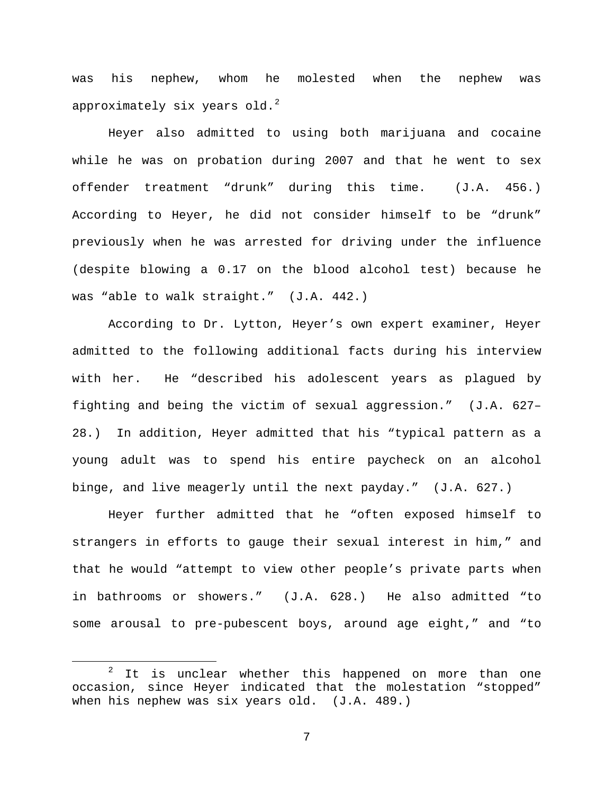was his nephew, whom he molested when the nephew was approximately six years old. $2$ 

Heyer also admitted to using both marijuana and cocaine while he was on probation during 2007 and that he went to sex offender treatment "drunk" during this time. (J.A. 456.) According to Heyer, he did not consider himself to be "drunk" previously when he was arrested for driving under the influence (despite blowing a 0.17 on the blood alcohol test) because he was "able to walk straight." (J.A. 442.)

According to Dr. Lytton, Heyer's own expert examiner, Heyer admitted to the following additional facts during his interview with her. He "described his adolescent years as plagued by fighting and being the victim of sexual aggression." (J.A. 627– 28.) In addition, Heyer admitted that his "typical pattern as a young adult was to spend his entire paycheck on an alcohol binge, and live meagerly until the next payday." (J.A. 627.)

Heyer further admitted that he "often exposed himself to strangers in efforts to gauge their sexual interest in him," and that he would "attempt to view other people's private parts when in bathrooms or showers." (J.A. 628.) He also admitted "to some arousal to pre-pubescent boys, around age eight," and "to

<span id="page-6-0"></span> $2$  It is unclear whether this happened on more than one occasion, since Heyer indicated that the molestation "stopped" when his nephew was six years old. (J.A. 489.)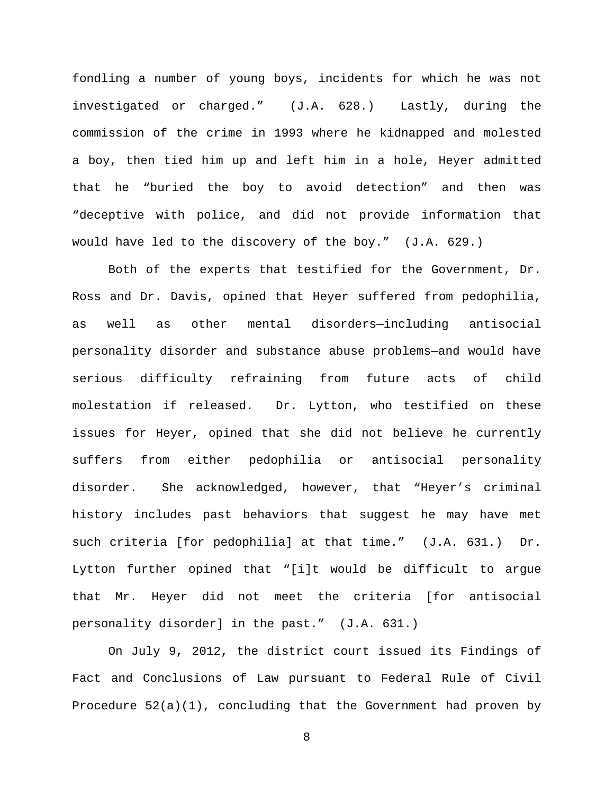fondling a number of young boys, incidents for which he was not investigated or charged." (J.A. 628.) Lastly, during the commission of the crime in 1993 where he kidnapped and molested a boy, then tied him up and left him in a hole, Heyer admitted that he "buried the boy to avoid detection" and then was "deceptive with police, and did not provide information that would have led to the discovery of the boy." (J.A. 629.)

Both of the experts that testified for the Government, Dr. Ross and Dr. Davis, opined that Heyer suffered from pedophilia, as well as other mental disorders—including antisocial personality disorder and substance abuse problems—and would have serious difficulty refraining from future acts of child molestation if released. Dr. Lytton, who testified on these issues for Heyer, opined that she did not believe he currently suffers from either pedophilia or antisocial personality disorder. She acknowledged, however, that "Heyer's criminal history includes past behaviors that suggest he may have met such criteria [for pedophilia] at that time." (J.A. 631.) Dr. Lytton further opined that "[i]t would be difficult to argue that Mr. Heyer did not meet the criteria [for antisocial personality disorder] in the past." (J.A. 631.)

On July 9, 2012, the district court issued its Findings of Fact and Conclusions of Law pursuant to Federal Rule of Civil Procedure 52(a)(1), concluding that the Government had proven by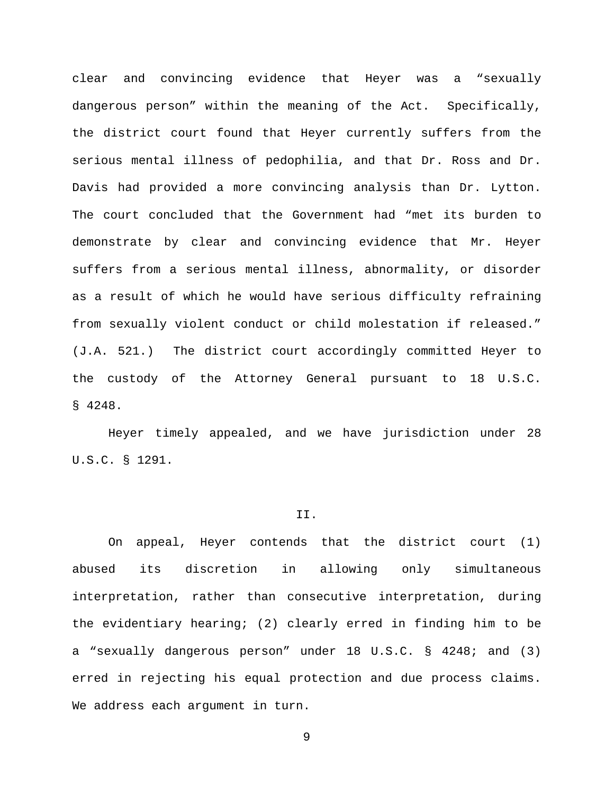clear and convincing evidence that Heyer was a "sexually dangerous person" within the meaning of the Act. Specifically, the district court found that Heyer currently suffers from the serious mental illness of pedophilia, and that Dr. Ross and Dr. Davis had provided a more convincing analysis than Dr. Lytton. The court concluded that the Government had "met its burden to demonstrate by clear and convincing evidence that Mr. Heyer suffers from a serious mental illness, abnormality, or disorder as a result of which he would have serious difficulty refraining from sexually violent conduct or child molestation if released." (J.A. 521.) The district court accordingly committed Heyer to the custody of the Attorney General pursuant to 18 U.S.C. § 4248.

Heyer timely appealed, and we have jurisdiction under 28 U.S.C. § 1291.

## II.

On appeal, Heyer contends that the district court (1) abused its discretion in allowing only simultaneous interpretation, rather than consecutive interpretation, during the evidentiary hearing; (2) clearly erred in finding him to be a "sexually dangerous person" under 18 U.S.C. § 4248; and (3) erred in rejecting his equal protection and due process claims. We address each argument in turn.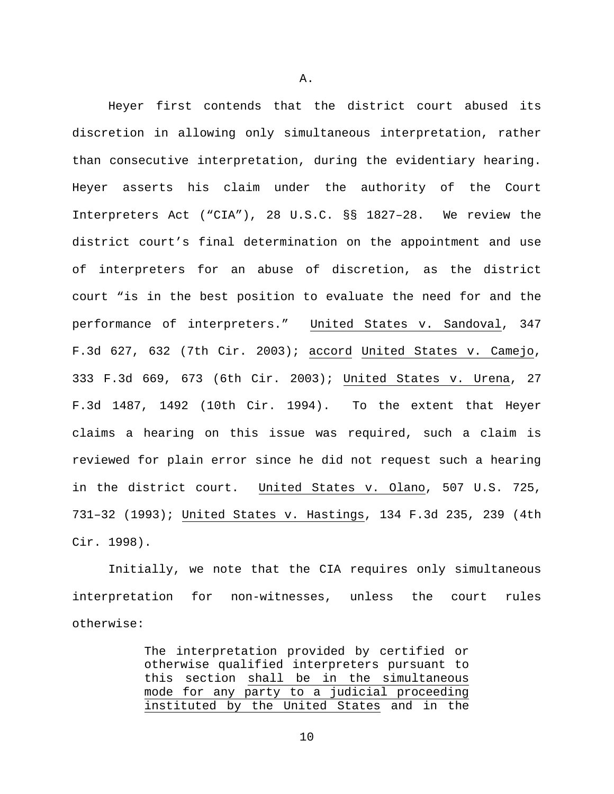Heyer first contends that the district court abused its discretion in allowing only simultaneous interpretation, rather than consecutive interpretation, during the evidentiary hearing. Heyer asserts his claim under the authority of the Court Interpreters Act ("CIA"), 28 U.S.C. §§ 1827–28. We review the district court's final determination on the appointment and use of interpreters for an abuse of discretion, as the district court "is in the best position to evaluate the need for and the performance of interpreters." United States v. Sandoval, 347 F.3d 627, 632 (7th Cir. 2003); accord United States v. Camejo, 333 F.3d 669, 673 (6th Cir. 2003); United States v. Urena, 27 F.3d 1487, 1492 (10th Cir. 1994). To the extent that Heyer claims a hearing on this issue was required, such a claim is reviewed for plain error since he did not request such a hearing in the district court. United States v. Olano, 507 U.S. 725, 731–32 (1993); United States v. Hastings, 134 F.3d 235, 239 (4th Cir. 1998).

Initially, we note that the CIA requires only simultaneous interpretation for non-witnesses, unless the court rules otherwise:

> The interpretation provided by certified or otherwise qualified interpreters pursuant to this section shall be in the simultaneous mode for any party to a judicial proceeding instituted by the United States and in the

A.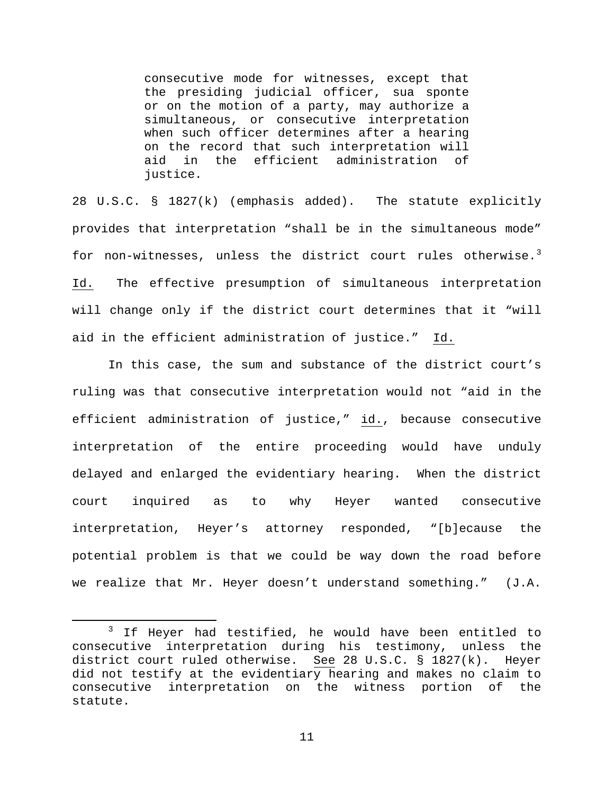consecutive mode for witnesses, except that the presiding judicial officer, sua sponte or on the motion of a party, may authorize a simultaneous, or consecutive interpretation when such officer determines after a hearing on the record that such interpretation will aid in the efficient administration of justice.

28 U.S.C. § 1827(k) (emphasis added). The statute explicitly provides that interpretation "shall be in the simultaneous mode" for non-witnesses, unless the district court rules otherwise.<sup>[3](#page-10-0)</sup> Id. The effective presumption of simultaneous interpretation will change only if the district court determines that it "will aid in the efficient administration of justice." Id.

In this case, the sum and substance of the district court's ruling was that consecutive interpretation would not "aid in the efficient administration of justice," id., because consecutive interpretation of the entire proceeding would have unduly delayed and enlarged the evidentiary hearing. When the district court inquired as to why Heyer wanted consecutive interpretation, Heyer's attorney responded, "[b]ecause the potential problem is that we could be way down the road before we realize that Mr. Heyer doesn't understand something." (J.A.

<span id="page-10-0"></span><sup>&</sup>lt;sup>3</sup> If Heyer had testified, he would have been entitled to consecutive interpretation during his testimony, unless the<br>district court ruled otherwise. See 28 U.S.C. § 1827(k). Heyer See 28 U.S.C.  $\S$  1827(k). Heyer did not testify at the evidentiary hearing and makes no claim to consecutive interpretation on the witness portion of the statute.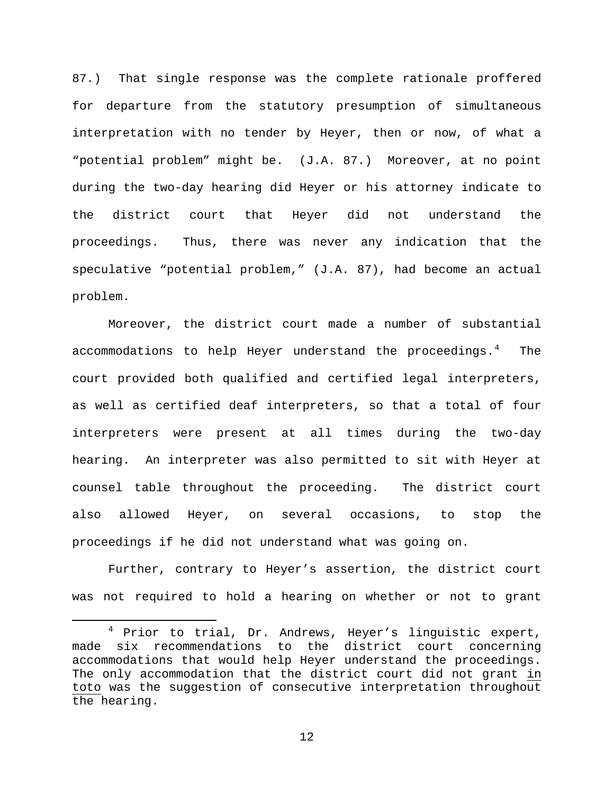87.) That single response was the complete rationale proffered for departure from the statutory presumption of simultaneous interpretation with no tender by Heyer, then or now, of what a "potential problem" might be. (J.A. 87.) Moreover, at no point during the two-day hearing did Heyer or his attorney indicate to the district court that Heyer did not understand the proceedings. Thus, there was never any indication that the speculative "potential problem," (J.A. 87), had become an actual problem.

Moreover, the district court made a number of substantial accommodations to help Heyer understand the proceedings.<sup>[4](#page-11-0)</sup> The court provided both qualified and certified legal interpreters, as well as certified deaf interpreters, so that a total of four interpreters were present at all times during the two-day hearing. An interpreter was also permitted to sit with Heyer at counsel table throughout the proceeding. The district court also allowed Heyer, on several occasions, to stop the proceedings if he did not understand what was going on.

Further, contrary to Heyer's assertion, the district court was not required to hold a hearing on whether or not to grant

<span id="page-11-0"></span> <sup>4</sup> Prior to trial, Dr. Andrews, Heyer's linguistic expert, made six recommendations to the district court concerning accommodations that would help Heyer understand the proceedings. The only accommodation that the district court did not grant in toto was the suggestion of consecutive interpretation throughout the hearing.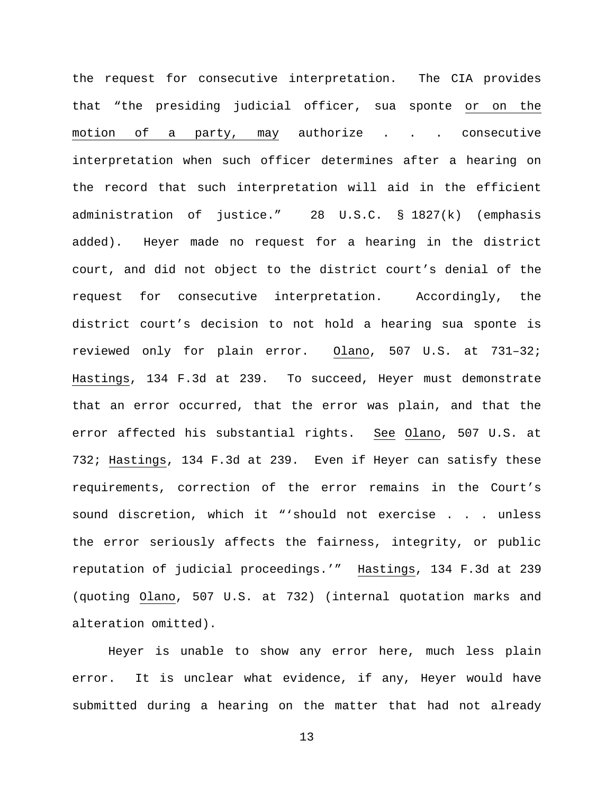the request for consecutive interpretation. The CIA provides that "the presiding judicial officer, sua sponte or on the motion of a party, may authorize . . . consecutive interpretation when such officer determines after a hearing on the record that such interpretation will aid in the efficient administration of justice." 28 U.S.C. § 1827(k) (emphasis added). Heyer made no request for a hearing in the district court, and did not object to the district court's denial of the request for consecutive interpretation. Accordingly, the district court's decision to not hold a hearing sua sponte is reviewed only for plain error. Olano, 507 U.S. at 731–32; Hastings, 134 F.3d at 239. To succeed, Heyer must demonstrate that an error occurred, that the error was plain, and that the error affected his substantial rights. See Olano, 507 U.S. at 732; Hastings, 134 F.3d at 239. Even if Heyer can satisfy these requirements, correction of the error remains in the Court's sound discretion, which it "'should not exercise . . . unless the error seriously affects the fairness, integrity, or public reputation of judicial proceedings.'" Hastings, 134 F.3d at 239 (quoting Olano, 507 U.S. at 732) (internal quotation marks and alteration omitted).

Heyer is unable to show any error here, much less plain error. It is unclear what evidence, if any, Heyer would have submitted during a hearing on the matter that had not already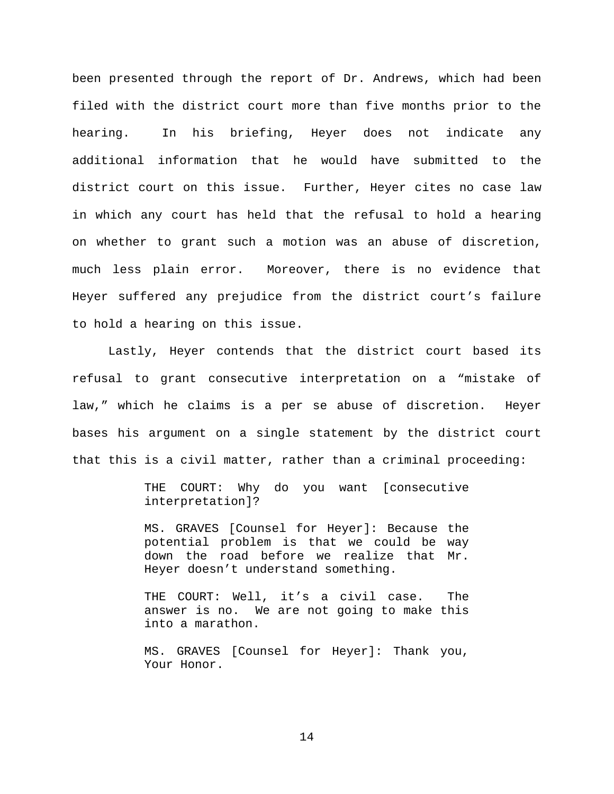been presented through the report of Dr. Andrews, which had been filed with the district court more than five months prior to the hearing. In his briefing, Heyer does not indicate any additional information that he would have submitted to the district court on this issue. Further, Heyer cites no case law in which any court has held that the refusal to hold a hearing on whether to grant such a motion was an abuse of discretion, much less plain error. Moreover, there is no evidence that Heyer suffered any prejudice from the district court's failure to hold a hearing on this issue.

Lastly, Heyer contends that the district court based its refusal to grant consecutive interpretation on a "mistake of law," which he claims is a per se abuse of discretion. Heyer bases his argument on a single statement by the district court that this is a civil matter, rather than a criminal proceeding:

> THE COURT: Why do you want [consecutive interpretation]?

> MS. GRAVES [Counsel for Heyer]: Because the potential problem is that we could be way down the road before we realize that Mr. Heyer doesn't understand something.

> THE COURT: Well, it's a civil case. The answer is no. We are not going to make this into a marathon.

> MS. GRAVES [Counsel for Heyer]: Thank you, Your Honor.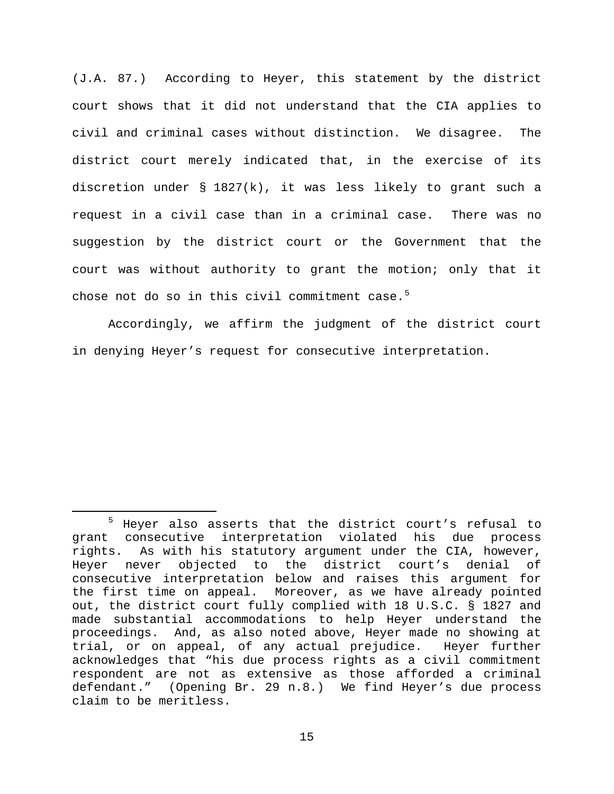(J.A. 87.) According to Heyer, this statement by the district court shows that it did not understand that the CIA applies to civil and criminal cases without distinction. We disagree. The district court merely indicated that, in the exercise of its discretion under § 1827(k), it was less likely to grant such a request in a civil case than in a criminal case. There was no suggestion by the district court or the Government that the court was without authority to grant the motion; only that it chose not do so in this civil commitment case. $5$ 

Accordingly, we affirm the judgment of the district court in denying Heyer's request for consecutive interpretation.

<span id="page-14-0"></span> <sup>5</sup> Heyer also asserts that the district court's refusal to grant consecutive interpretation violated his due process rights. As with his statutory argument under the CIA, however, Heyer never objected to the district court's denial of consecutive interpretation below and raises this argument for the first time on appeal. Moreover, as we have already pointed out, the district court fully complied with 18 U.S.C. § 1827 and made substantial accommodations to help Heyer understand the proceedings. And, as also noted above, Heyer made no showing at trial, or on appeal, of any actual prejudice. Heyer further acknowledges that "his due process rights as a civil commitment respondent are not as extensive as those afforded a criminal<br>defendant." (Opening Br. 29 n.8.) We find Heyer's due process (Opening Br. 29 n.8.) We find Heyer's due process claim to be meritless.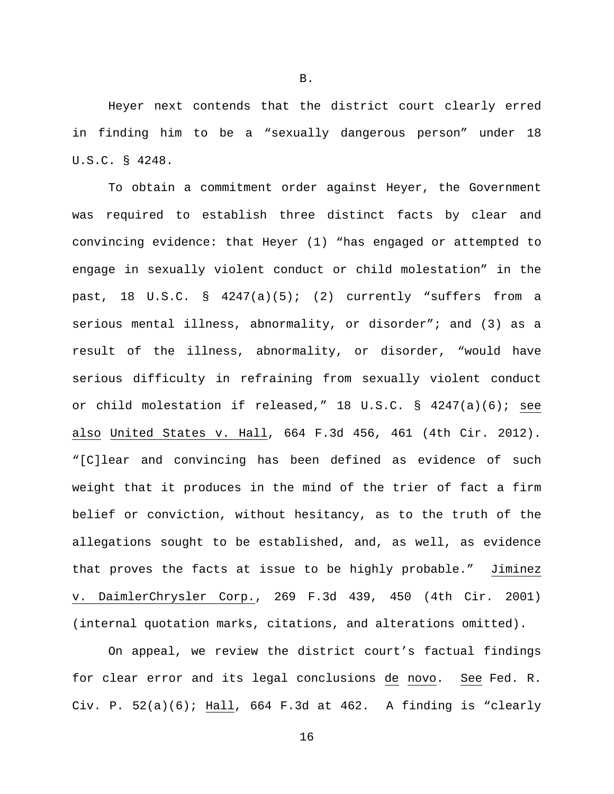Heyer next contends that the district court clearly erred in finding him to be a "sexually dangerous person" under 18 U.S.C. § 4248.

To obtain a commitment order against Heyer, the Government was required to establish three distinct facts by clear and convincing evidence: that Heyer (1) "has engaged or attempted to engage in sexually violent conduct or child molestation" in the past, 18 U.S.C. § 4247(a)(5); (2) currently "suffers from a serious mental illness, abnormality, or disorder"; and (3) as a result of the illness, abnormality, or disorder, "would have serious difficulty in refraining from sexually violent conduct or child molestation if released," 18 U.S.C. § 4247(a)(6); see also United States v. Hall, 664 F.3d 456, 461 (4th Cir. 2012). "[C]lear and convincing has been defined as evidence of such weight that it produces in the mind of the trier of fact a firm belief or conviction, without hesitancy, as to the truth of the allegations sought to be established, and, as well, as evidence that proves the facts at issue to be highly probable." Jiminez v. DaimlerChrysler Corp., 269 F.3d 439, 450 (4th Cir. 2001) (internal quotation marks, citations, and alterations omitted).

On appeal, we review the district court's factual findings for clear error and its legal conclusions de novo. See Fed. R. Civ. P.  $52(a)(6)$ ; Hall,  $664$  F.3d at  $462$ . A finding is "clearly

B.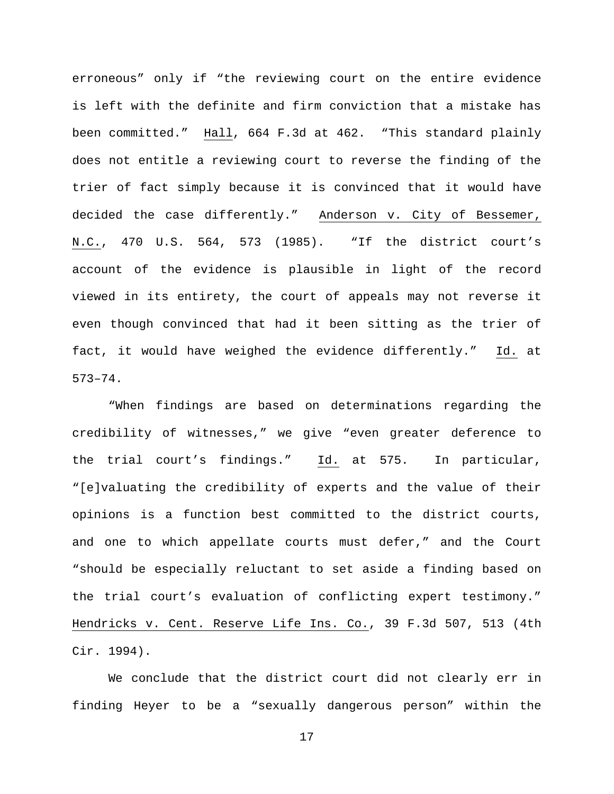erroneous" only if "the reviewing court on the entire evidence is left with the definite and firm conviction that a mistake has been committed." Hall, 664 F.3d at 462. "This standard plainly does not entitle a reviewing court to reverse the finding of the trier of fact simply because it is convinced that it would have decided the case differently." Anderson v. City of Bessemer, N.C., 470 U.S. 564, 573 (1985). "If the district court's account of the evidence is plausible in light of the record viewed in its entirety, the court of appeals may not reverse it even though convinced that had it been sitting as the trier of fact, it would have weighed the evidence differently." Id. at 573–74.

"When findings are based on determinations regarding the credibility of witnesses," we give "even greater deference to the trial court's findings." Id. at 575. In particular, "[e]valuating the credibility of experts and the value of their opinions is a function best committed to the district courts, and one to which appellate courts must defer," and the Court "should be especially reluctant to set aside a finding based on the trial court's evaluation of conflicting expert testimony." Hendricks v. Cent. Reserve Life Ins. Co., 39 F.3d 507, 513 (4th Cir. 1994).

We conclude that the district court did not clearly err in finding Heyer to be a "sexually dangerous person" within the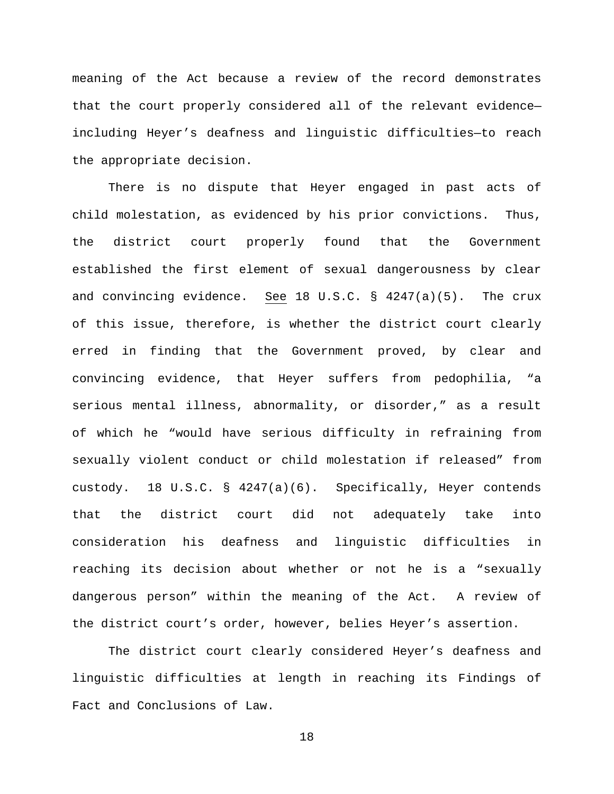meaning of the Act because a review of the record demonstrates that the court properly considered all of the relevant evidence including Heyer's deafness and linguistic difficulties—to reach the appropriate decision.

There is no dispute that Heyer engaged in past acts of child molestation, as evidenced by his prior convictions. Thus, the district court properly found that the Government established the first element of sexual dangerousness by clear and convincing evidence. See 18 U.S.C. § 4247(a)(5). The crux of this issue, therefore, is whether the district court clearly erred in finding that the Government proved, by clear and convincing evidence, that Heyer suffers from pedophilia, "a serious mental illness, abnormality, or disorder," as a result of which he "would have serious difficulty in refraining from sexually violent conduct or child molestation if released" from custody. 18 U.S.C. § 4247(a)(6). Specifically, Heyer contends that the district court did not adequately take into consideration his deafness and linguistic difficulties in reaching its decision about whether or not he is a "sexually dangerous person" within the meaning of the Act. A review of the district court's order, however, belies Heyer's assertion.

The district court clearly considered Heyer's deafness and linguistic difficulties at length in reaching its Findings of Fact and Conclusions of Law.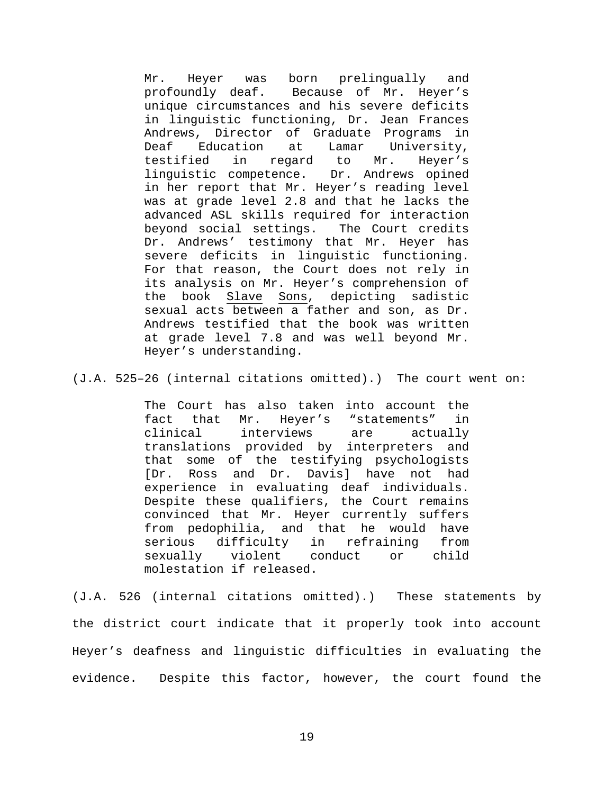Mr. Heyer was born prelingually and<br>profoundly deaf. Because of Mr. Heyer's Because of Mr. Heyer's unique circumstances and his severe deficits in linguistic functioning, Dr. Jean Frances Andrews, Director of Graduate Programs in<br>Deaf Education at Lamar University, Deaf Education at Lamar University, testified in regard to Mr. Heyer's linguistic competence. Dr. Andrews opined in her report that Mr. Heyer's reading level was at grade level 2.8 and that he lacks the advanced ASL skills required for interaction<br>beyond social settings. The Court credits beyond social settings. Dr. Andrews' testimony that Mr. Heyer has severe deficits in linguistic functioning. For that reason, the Court does not rely in its analysis on Mr. Heyer's comprehension of the book Slave Sons, depicting sadistic sexual acts between a father and son, as Dr. Andrews testified that the book was written at grade level 7.8 and was well beyond Mr. Heyer's understanding.

(J.A. 525–26 (internal citations omitted).) The court went on:

The Court has also taken into account the<br>fact that Mr. Hever's "statements" in fact that Mr. Heyer's "statements"<br>clinical interviews are actu interviews are actually translations provided by interpreters and that some of the testifying psychologists<br>[Dr. Ross and Dr. Davis] have not had Ross and Dr. Davis] have not had experience in evaluating deaf individuals. Despite these qualifiers, the Court remains convinced that Mr. Heyer currently suffers from pedophilia, and that he would have serious difficulty in refraining from<br>sexually violent conduct or child sexually molestation if released.

(J.A. 526 (internal citations omitted).) These statements by the district court indicate that it properly took into account Heyer's deafness and linguistic difficulties in evaluating the evidence. Despite this factor, however, the court found the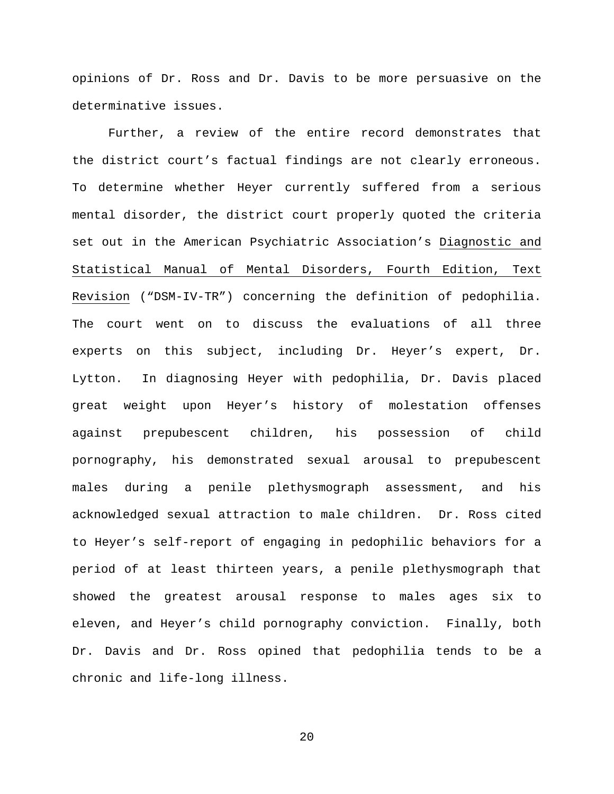opinions of Dr. Ross and Dr. Davis to be more persuasive on the determinative issues.

Further, a review of the entire record demonstrates that the district court's factual findings are not clearly erroneous. To determine whether Heyer currently suffered from a serious mental disorder, the district court properly quoted the criteria set out in the American Psychiatric Association's Diagnostic and Statistical Manual of Mental Disorders, Fourth Edition, Text Revision ("DSM-IV-TR") concerning the definition of pedophilia. The court went on to discuss the evaluations of all three experts on this subject, including Dr. Heyer's expert, Dr. Lytton. In diagnosing Heyer with pedophilia, Dr. Davis placed great weight upon Heyer's history of molestation offenses against prepubescent children, his possession of child pornography, his demonstrated sexual arousal to prepubescent males during a penile plethysmograph assessment, and his acknowledged sexual attraction to male children. Dr. Ross cited to Heyer's self-report of engaging in pedophilic behaviors for a period of at least thirteen years, a penile plethysmograph that showed the greatest arousal response to males ages six to eleven, and Heyer's child pornography conviction. Finally, both Dr. Davis and Dr. Ross opined that pedophilia tends to be a chronic and life-long illness.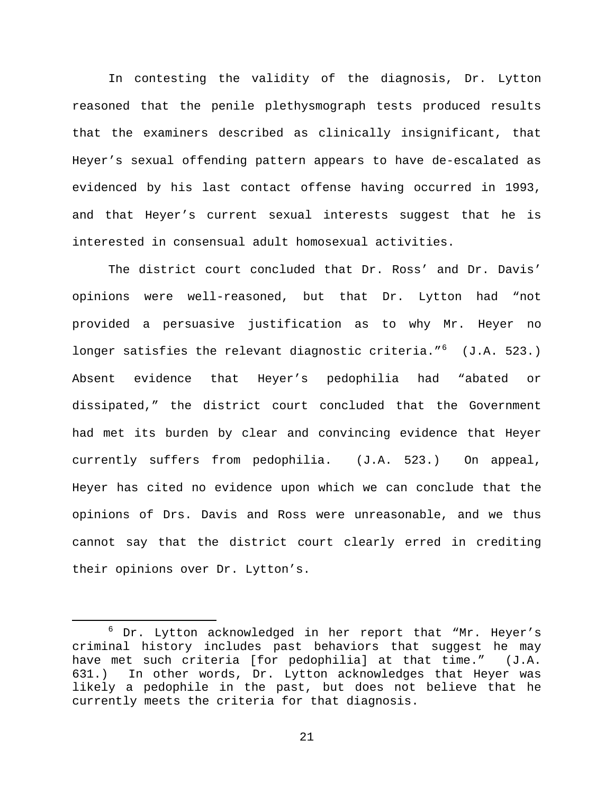In contesting the validity of the diagnosis, Dr. Lytton reasoned that the penile plethysmograph tests produced results that the examiners described as clinically insignificant, that Heyer's sexual offending pattern appears to have de-escalated as evidenced by his last contact offense having occurred in 1993, and that Heyer's current sexual interests suggest that he is interested in consensual adult homosexual activities.

The district court concluded that Dr. Ross' and Dr. Davis' opinions were well-reasoned, but that Dr. Lytton had "not provided a persuasive justification as to why Mr. Heyer no longer satisfies the relevant diagnostic criteria."<sup>[6](#page-20-0)</sup> (J.A. 523.) Absent evidence that Heyer's pedophilia had "abated or dissipated," the district court concluded that the Government had met its burden by clear and convincing evidence that Heyer currently suffers from pedophilia. (J.A. 523.) On appeal, Heyer has cited no evidence upon which we can conclude that the opinions of Drs. Davis and Ross were unreasonable, and we thus cannot say that the district court clearly erred in crediting their opinions over Dr. Lytton's.

<span id="page-20-0"></span> $6$  Dr. Lytton acknowledged in her report that "Mr. Heyer's criminal history includes past behaviors that suggest he may have met such criteria [for pedophilia] at that time." (J.A. 631.) In other words, Dr. Lytton acknowledges that Heyer was likely a pedophile in the past, but does not believe that he currently meets the criteria for that diagnosis.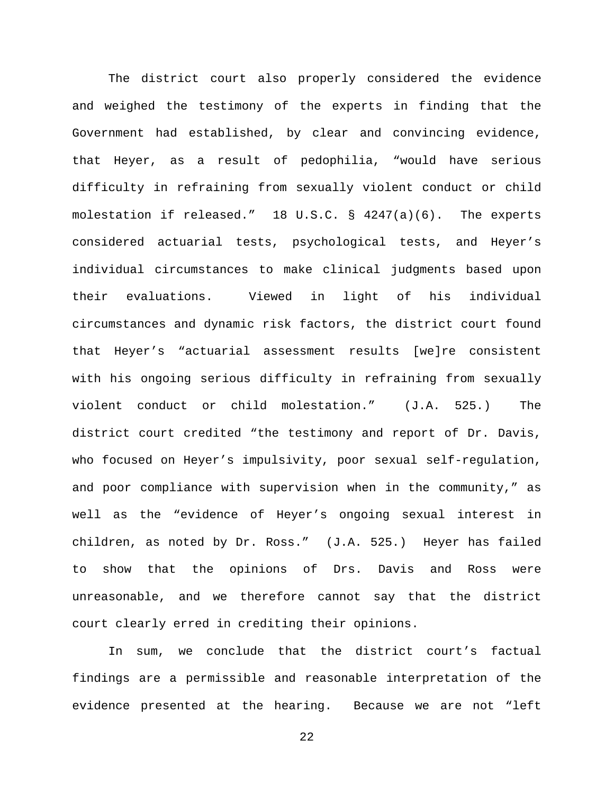The district court also properly considered the evidence and weighed the testimony of the experts in finding that the Government had established, by clear and convincing evidence, that Heyer, as a result of pedophilia, "would have serious difficulty in refraining from sexually violent conduct or child molestation if released." 18 U.S.C. § 4247(a)(6). The experts considered actuarial tests, psychological tests, and Heyer's individual circumstances to make clinical judgments based upon their evaluations. Viewed in light of his individual circumstances and dynamic risk factors, the district court found that Heyer's "actuarial assessment results [we]re consistent with his ongoing serious difficulty in refraining from sexually violent conduct or child molestation." (J.A. 525.) The district court credited "the testimony and report of Dr. Davis, who focused on Heyer's impulsivity, poor sexual self-regulation, and poor compliance with supervision when in the community," as well as the "evidence of Heyer's ongoing sexual interest in children, as noted by Dr. Ross." (J.A. 525.) Heyer has failed to show that the opinions of Drs. Davis and Ross were unreasonable, and we therefore cannot say that the district court clearly erred in crediting their opinions.

In sum, we conclude that the district court's factual findings are a permissible and reasonable interpretation of the evidence presented at the hearing. Because we are not "left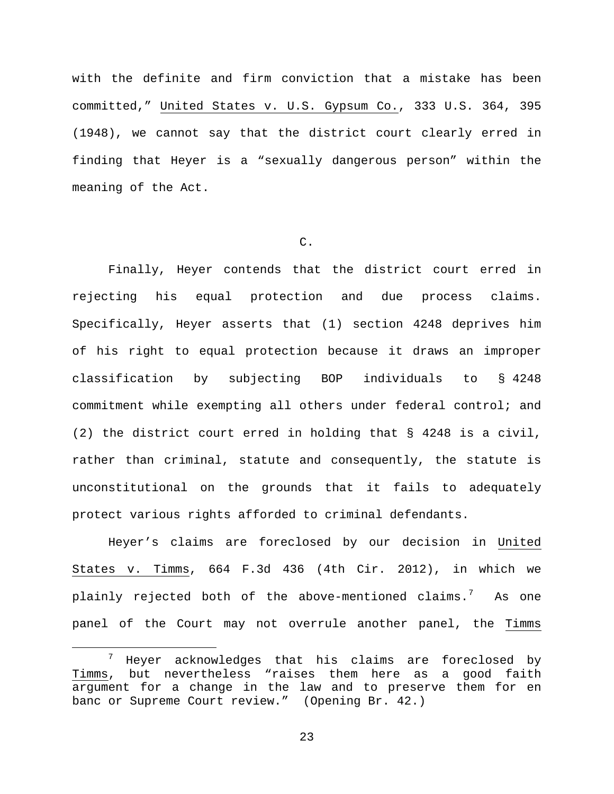with the definite and firm conviction that a mistake has been committed," United States v. U.S. Gypsum Co., 333 U.S. 364, 395 (1948), we cannot say that the district court clearly erred in finding that Heyer is a "sexually dangerous person" within the meaning of the Act.

# C.

Finally, Heyer contends that the district court erred in rejecting his equal protection and due process claims. Specifically, Heyer asserts that (1) section 4248 deprives him of his right to equal protection because it draws an improper classification by subjecting BOP individuals to § 4248 commitment while exempting all others under federal control; and (2) the district court erred in holding that § 4248 is a civil, rather than criminal, statute and consequently, the statute is unconstitutional on the grounds that it fails to adequately protect various rights afforded to criminal defendants.

Heyer's claims are foreclosed by our decision in United States v. Timms, 664 F.3d 436 (4th Cir. 2012), in which we plainly rejected both of the above-mentioned claims. $^7$  $^7$  As one panel of the Court may not overrule another panel, the Timms

<span id="page-22-0"></span> <sup>7</sup> Heyer acknowledges that his claims are foreclosed by Timms, but nevertheless "raises them here as a good faith argument for a change in the law and to preserve them for en banc or Supreme Court review." (Opening Br. 42.)